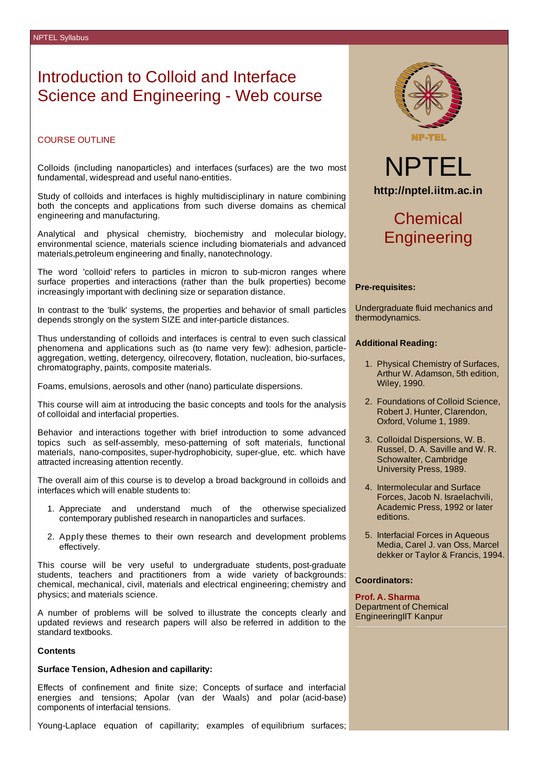### Introduction to Colloid and Interface Science and Engineering - Web course

#### COURSE OUTLINE

Colloids (including nanoparticles) and interfaces (surfaces) are the two most fundamental, widespread and useful nano-entities.

Study of colloids and interfaces is highly multidisciplinary in nature combining both the concepts and applications from such diverse domains as chemical engineering and manufacturing.

Analytical and physical chemistry, biochemistry and molecular biology, environmental science, materials science including biomaterials and advanced materials,petroleum engineering and finally, nanotechnology.

The word 'colloid' refers to particles in micron to sub-micron ranges where surface properties and interactions (rather than the bulk properties) become increasingly important with declining size or separation distance.

In contrast to the 'bulk' systems, the properties and behavior of small particles depends strongly on the system SIZE and inter-particle distances.

Thus understanding of colloids and interfaces is central to even such classical phenomena and applications such as (to name very few): adhesion, particleaggregation, wetting, detergency, oilrecovery, flotation, nucleation, bio-surfaces, chromatography, paints, composite materials.

Foams, emulsions, aerosols and other (nano) particulate dispersions.

This course will aim at introducing the basic concepts and tools for the analysis of colloidal and interfacial properties.

Behavior and interactions together with brief introduction to some advanced topics such as self-assembly, meso-patterning of soft materials, functional materials, nano-composites, super-hydrophobicity, super-glue, etc. which have attracted increasing attention recently.

The overall aim of this course is to develop a broad background in colloids and interfaces which will enable students to:

- 1. Appreciate and understand much of the otherwise specialized contemporary published research in nanoparticles and surfaces.
- 2. Apply these themes to their own research and development problems effectively.

This course will be very useful to undergraduate students, post-graduate students, teachers and practitioners from a wide variety of backgrounds: chemical, mechanical, civil, materials and electrical engineering; chemistry and physics; and materials science.

A number of problems will be solved to illustrate the concepts clearly and updated reviews and research papers will also be referred in addition to the standard textbooks.

#### **Contents**

#### **Surface Tension, Adhesion and capillarity:**

Effects of confinement and finite size; Concepts of surface and interfacial energies and tensions; Apolar (van der Waals) and polar (acid-base) components of interfacial tensions.

Young-Laplace equation of capillarity; examples of equilibrium surfaces;



# NPTEL **http://nptel.iitm.ac.in**

## **Chemical Engineering**

#### **Pre-requisites:**

Undergraduate fluid mechanics and thermodynamics.

#### **Additional Reading:**

- 1. Physical Chemistry of Surfaces, Arthur W. Adamson, 5th edition, Wiley, 1990.
- 2. Foundations of Colloid Science, Robert J. Hunter, Clarendon, Oxford, Volume 1, 1989.
- 3. Colloidal Dispersions, W. B. Russel, D. A. Saville and W. R. Schowalter, Cambridge University Press, 1989.
- 4. Intermolecular and Surface Forces, Jacob N. Israelachvili, Academic Press, 1992 or later editions.
- 5. Interfacial Forces in Aqueous Media, Carel J. van Oss, Marcel dekker or Taylor & Francis, 1994.

#### **Coordinators:**

**Prof. A. Sharma** Department of Chemical EngineeringIIT Kanpur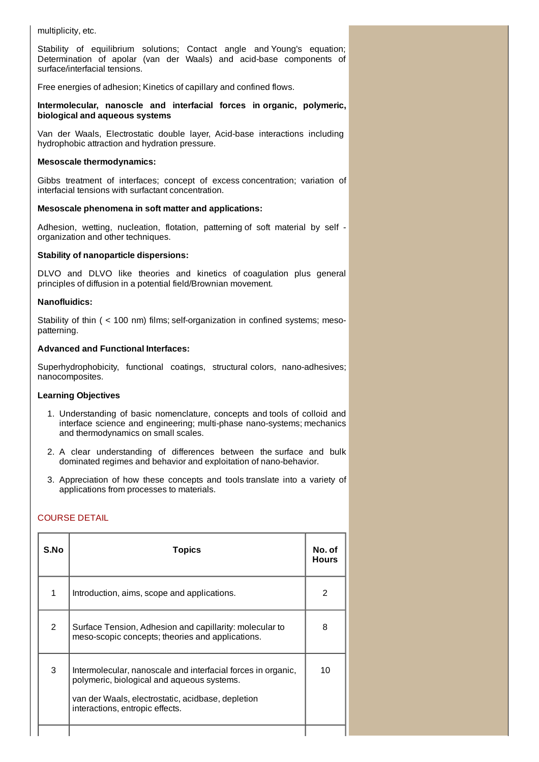multiplicity, etc.

Stability of equilibrium solutions; Contact angle and Young's equation; Determination of apolar (van der Waals) and acid-base components of surface/interfacial tensions.

Free energies of adhesion; Kinetics of capillary and confined flows.

#### **Intermolecular, nanoscle and interfacial forces in organic, polymeric, biological and aqueous systems**

Van der Waals, Electrostatic double layer, Acid-base interactions including hydrophobic attraction and hydration pressure.

#### **Mesoscale thermodynamics:**

Gibbs treatment of interfaces; concept of excess concentration; variation of interfacial tensions with surfactant concentration.

#### **Mesoscale phenomena in soft matter and applications:**

Adhesion, wetting, nucleation, flotation, patterning of soft material by self organization and other techniques.

#### **Stability of nanoparticle dispersions:**

DLVO and DLVO like theories and kinetics of coagulation plus general principles of diffusion in a potential field/Brownian movement.

#### **Nanofluidics:**

Stability of thin ( < 100 nm) films; self-organization in confined systems; mesopatterning.

#### **Advanced and Functional Interfaces:**

Superhydrophobicity, functional coatings, structural colors, nano-adhesives; nanocomposites.

#### **Learning Objectives**

- 1. Understanding of basic nomenclature, concepts and tools of colloid and interface science and engineering; multi-phase nano-systems; mechanics and thermodynamics on small scales.
- 2. A clear understanding of differences between the surface and bulk dominated regimes and behavior and exploitation of nano-behavior.
- 3. Appreciation of how these concepts and tools translate into a variety of applications from processes to materials.

### COURSE DETAIL

| S.No         | <b>Topics</b>                                                                                                                                                                                      |    |
|--------------|----------------------------------------------------------------------------------------------------------------------------------------------------------------------------------------------------|----|
| $\mathbf{1}$ | Introduction, aims, scope and applications.                                                                                                                                                        | 2  |
| 2            | Surface Tension, Adhesion and capillarity: molecular to<br>meso-scopic concepts; theories and applications.                                                                                        | 8  |
| 3            | Intermolecular, nanoscale and interfacial forces in organic,<br>polymeric, biological and aqueous systems.<br>van der Waals, electrostatic, acidbase, depletion<br>interactions, entropic effects. | 10 |
|              |                                                                                                                                                                                                    |    |